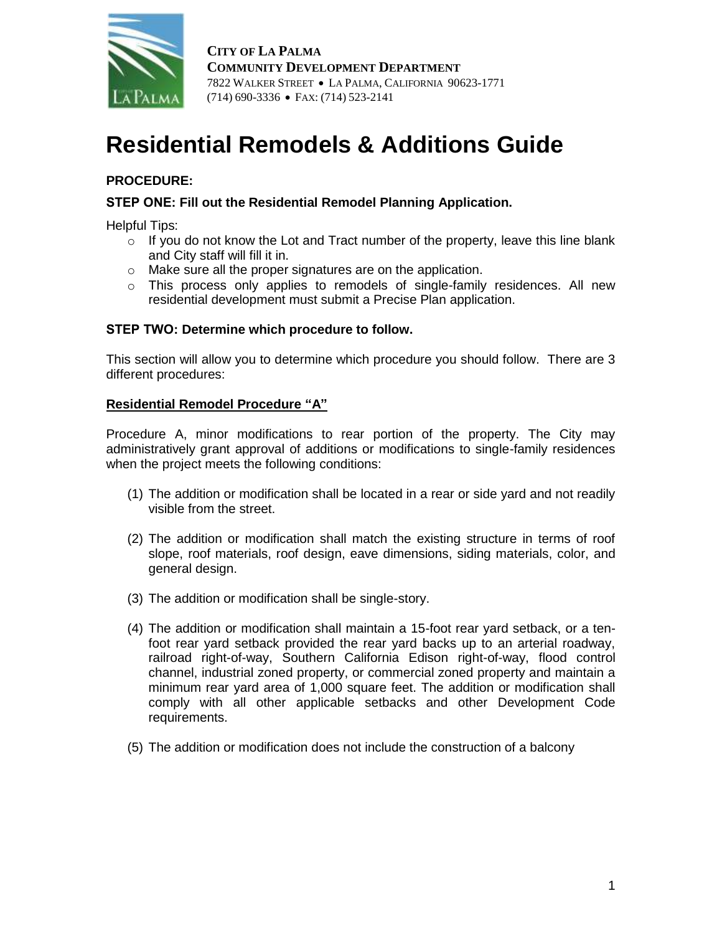

# **Residential Remodels & Additions Guide**

# **PROCEDURE:**

## **STEP ONE: Fill out the Residential Remodel Planning Application.**

Helpful Tips:

- $\circ$  If you do not know the Lot and Tract number of the property, leave this line blank and City staff will fill it in.
- o Make sure all the proper signatures are on the application.
- $\circ$  This process only applies to remodels of single-family residences. All new residential development must submit a Precise Plan application.

## **STEP TWO: Determine which procedure to follow.**

This section will allow you to determine which procedure you should follow. There are 3 different procedures:

## **Residential Remodel Procedure "A"**

Procedure A, minor modifications to rear portion of the property. The City may administratively grant approval of additions or modifications to single-family residences when the project meets the following conditions:

- (1) The addition or modification shall be located in a rear or side yard and not readily visible from the street.
- (2) The addition or modification shall match the existing structure in terms of roof slope, roof materials, roof design, eave dimensions, siding materials, color, and general design.
- (3) The addition or modification shall be single-story.
- (4) The addition or modification shall maintain a 15-foot rear yard setback, or a tenfoot rear yard setback provided the rear yard backs up to an arterial roadway, railroad right-of-way, Southern California Edison right-of-way, flood control channel, industrial zoned property, or commercial zoned property and maintain a minimum rear yard area of 1,000 square feet. The addition or modification shall comply with all other applicable setbacks and other Development Code requirements.
- (5) The addition or modification does not include the construction of a balcony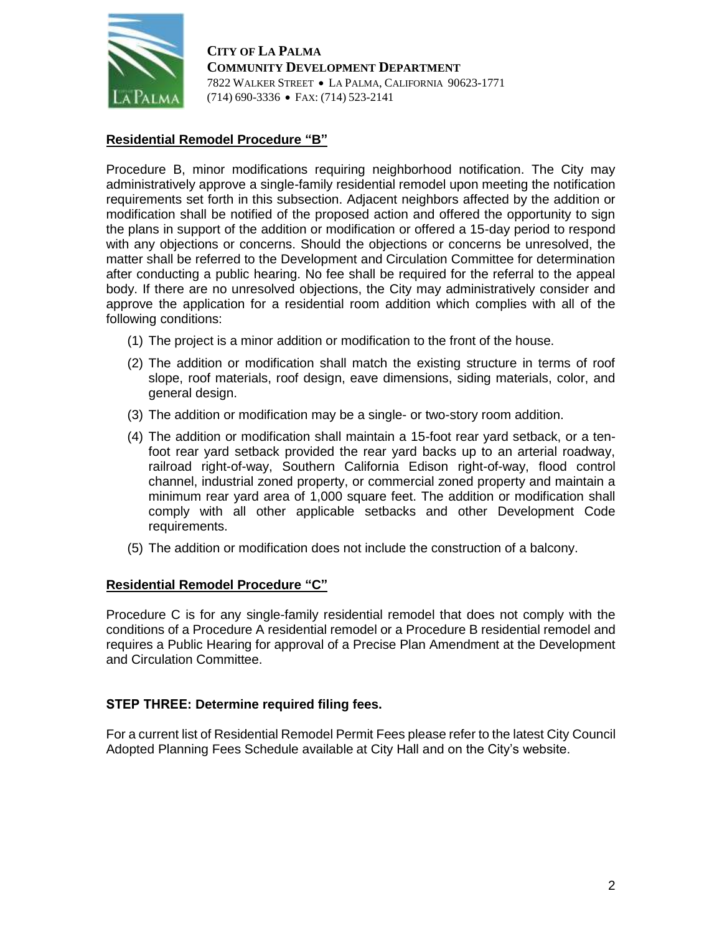

# **Residential Remodel Procedure "B"**

Procedure B, minor modifications requiring neighborhood notification. The City may administratively approve a single-family residential remodel upon meeting the notification requirements set forth in this subsection. Adjacent neighbors affected by the addition or modification shall be notified of the proposed action and offered the opportunity to sign the plans in support of the addition or modification or offered a 15-day period to respond with any objections or concerns. Should the objections or concerns be unresolved, the matter shall be referred to the Development and Circulation Committee for determination after conducting a public hearing. No fee shall be required for the referral to the appeal body. If there are no unresolved objections, the City may administratively consider and approve the application for a residential room addition which complies with all of the following conditions:

- (1) The project is a minor addition or modification to the front of the house.
- (2) The addition or modification shall match the existing structure in terms of roof slope, roof materials, roof design, eave dimensions, siding materials, color, and general design.
- (3) The addition or modification may be a single- or two-story room addition.
- (4) The addition or modification shall maintain a 15-foot rear yard setback, or a tenfoot rear yard setback provided the rear yard backs up to an arterial roadway, railroad right-of-way, Southern California Edison right-of-way, flood control channel, industrial zoned property, or commercial zoned property and maintain a minimum rear yard area of 1,000 square feet. The addition or modification shall comply with all other applicable setbacks and other Development Code requirements.
- (5) The addition or modification does not include the construction of a balcony.

## **Residential Remodel Procedure "C"**

Procedure C is for any single-family residential remodel that does not comply with the conditions of a Procedure A residential remodel or a Procedure B residential remodel and requires a Public Hearing for approval of a Precise Plan Amendment at the Development and Circulation Committee.

## **STEP THREE: Determine required filing fees.**

For a current list of Residential Remodel Permit Fees please refer to the latest City Council Adopted Planning Fees Schedule available at City Hall and on the City's website.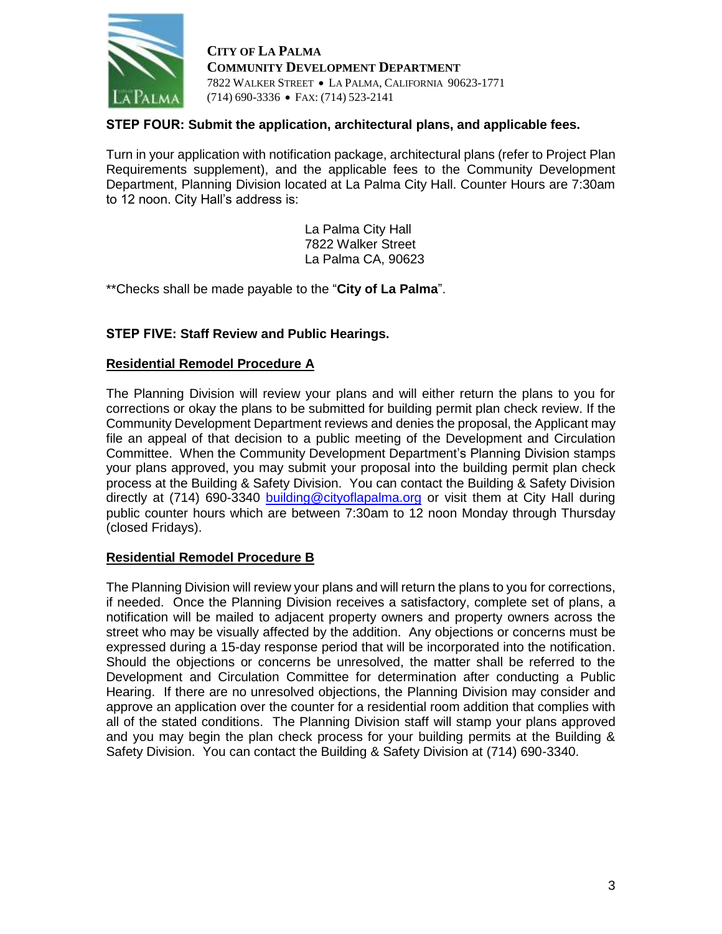

## **STEP FOUR: Submit the application, architectural plans, and applicable fees.**

Turn in your application with notification package, architectural plans (refer to Project Plan Requirements supplement), and the applicable fees to the Community Development Department, Planning Division located at La Palma City Hall. Counter Hours are 7:30am to 12 noon. City Hall's address is:

> La Palma City Hall 7822 Walker Street La Palma CA, 90623

\*\*Checks shall be made payable to the "**City of La Palma**".

## **STEP FIVE: Staff Review and Public Hearings.**

### **Residential Remodel Procedure A**

The Planning Division will review your plans and will either return the plans to you for corrections or okay the plans to be submitted for building permit plan check review. If the Community Development Department reviews and denies the proposal, the Applicant may file an appeal of that decision to a public meeting of the Development and Circulation Committee. When the Community Development Department's Planning Division stamps your plans approved, you may submit your proposal into the building permit plan check process at the Building & Safety Division. You can contact the Building & Safety Division directly at (714) 690-3340 [building@cityoflapalma.org](mailto:building@cityoflapalma.org) or visit them at City Hall during public counter hours which are between 7:30am to 12 noon Monday through Thursday (closed Fridays).

### **Residential Remodel Procedure B**

The Planning Division will review your plans and will return the plans to you for corrections, if needed. Once the Planning Division receives a satisfactory, complete set of plans, a notification will be mailed to adjacent property owners and property owners across the street who may be visually affected by the addition. Any objections or concerns must be expressed during a 15-day response period that will be incorporated into the notification. Should the objections or concerns be unresolved, the matter shall be referred to the Development and Circulation Committee for determination after conducting a Public Hearing. If there are no unresolved objections, the Planning Division may consider and approve an application over the counter for a residential room addition that complies with all of the stated conditions. The Planning Division staff will stamp your plans approved and you may begin the plan check process for your building permits at the Building & Safety Division. You can contact the Building & Safety Division at (714) 690-3340.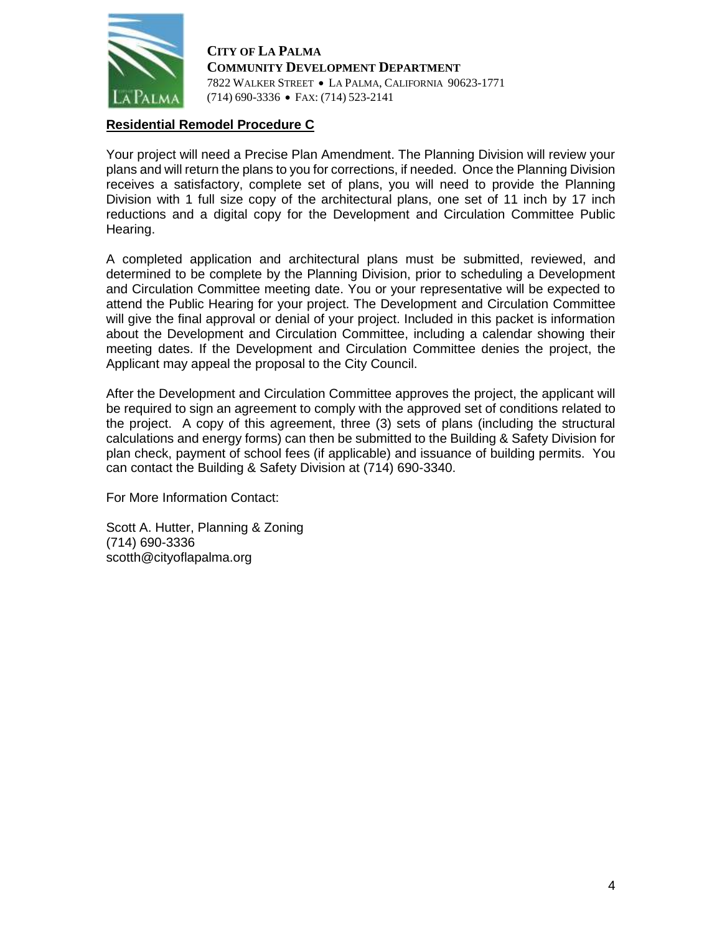

## **Residential Remodel Procedure C**

Your project will need a Precise Plan Amendment. The Planning Division will review your plans and will return the plans to you for corrections, if needed. Once the Planning Division receives a satisfactory, complete set of plans, you will need to provide the Planning Division with 1 full size copy of the architectural plans, one set of 11 inch by 17 inch reductions and a digital copy for the Development and Circulation Committee Public Hearing.

A completed application and architectural plans must be submitted, reviewed, and determined to be complete by the Planning Division, prior to scheduling a Development and Circulation Committee meeting date. You or your representative will be expected to attend the Public Hearing for your project. The Development and Circulation Committee will give the final approval or denial of your project. Included in this packet is information about the Development and Circulation Committee, including a calendar showing their meeting dates. If the Development and Circulation Committee denies the project, the Applicant may appeal the proposal to the City Council.

After the Development and Circulation Committee approves the project, the applicant will be required to sign an agreement to comply with the approved set of conditions related to the project. A copy of this agreement, three (3) sets of plans (including the structural calculations and energy forms) can then be submitted to the Building & Safety Division for plan check, payment of school fees (if applicable) and issuance of building permits. You can contact the Building & Safety Division at (714) 690-3340.

For More Information Contact:

Scott A. Hutter, Planning & Zoning (714) 690-3336 scotth@cityoflapalma.org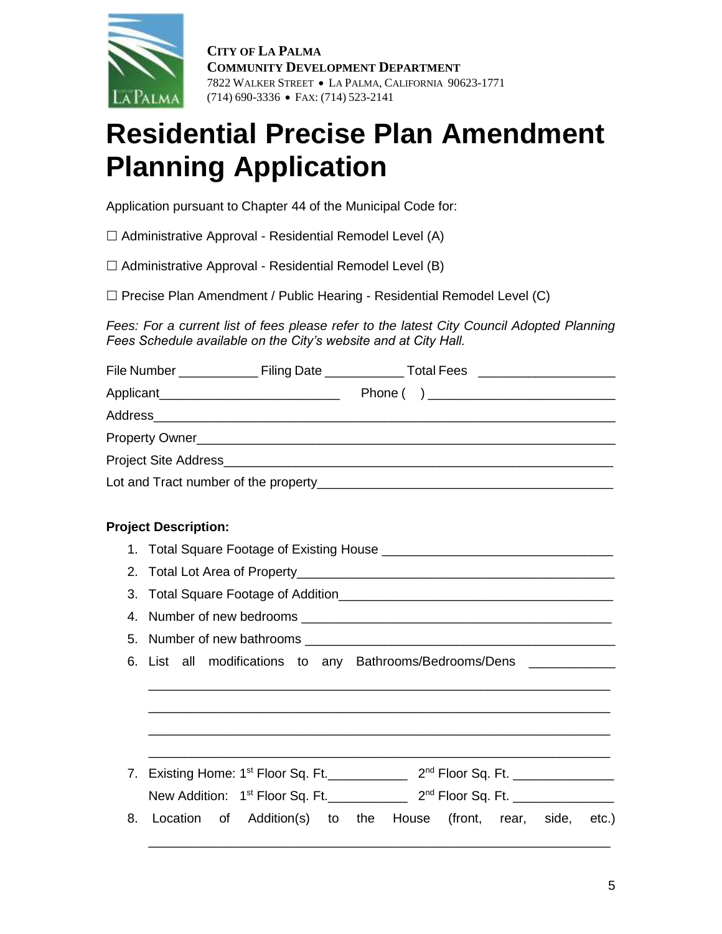

# **Residential Precise Plan Amendment Planning Application**

Application pursuant to Chapter 44 of the Municipal Code for:

 $\Box$  Administrative Approval - Residential Remodel Level (A)

 $\Box$  Administrative Approval - Residential Remodel Level (B)

 $\Box$  Precise Plan Amendment / Public Hearing - Residential Remodel Level (C)

*Fees: For a current list of fees please refer to the latest City Council Adopted Planning Fees Schedule available on the City's website and at City Hall.* 

|    |                             | File Number _______________________Filing Date __________________________________ |  |  |  |  |  |
|----|-----------------------------|-----------------------------------------------------------------------------------|--|--|--|--|--|
|    |                             |                                                                                   |  |  |  |  |  |
|    |                             |                                                                                   |  |  |  |  |  |
|    |                             |                                                                                   |  |  |  |  |  |
|    |                             |                                                                                   |  |  |  |  |  |
|    |                             |                                                                                   |  |  |  |  |  |
|    | <b>Project Description:</b> |                                                                                   |  |  |  |  |  |
|    |                             |                                                                                   |  |  |  |  |  |
|    |                             |                                                                                   |  |  |  |  |  |
| 3. |                             |                                                                                   |  |  |  |  |  |
| 4. |                             |                                                                                   |  |  |  |  |  |
| 5. |                             |                                                                                   |  |  |  |  |  |
| 6. |                             | List all modifications to any Bathrooms/Bedrooms/Dens                             |  |  |  |  |  |
|    |                             |                                                                                   |  |  |  |  |  |
|    |                             |                                                                                   |  |  |  |  |  |
|    |                             |                                                                                   |  |  |  |  |  |
|    |                             |                                                                                   |  |  |  |  |  |
| 8. | Location                    | of Addition(s) to the House (front, rear, side, etc.)                             |  |  |  |  |  |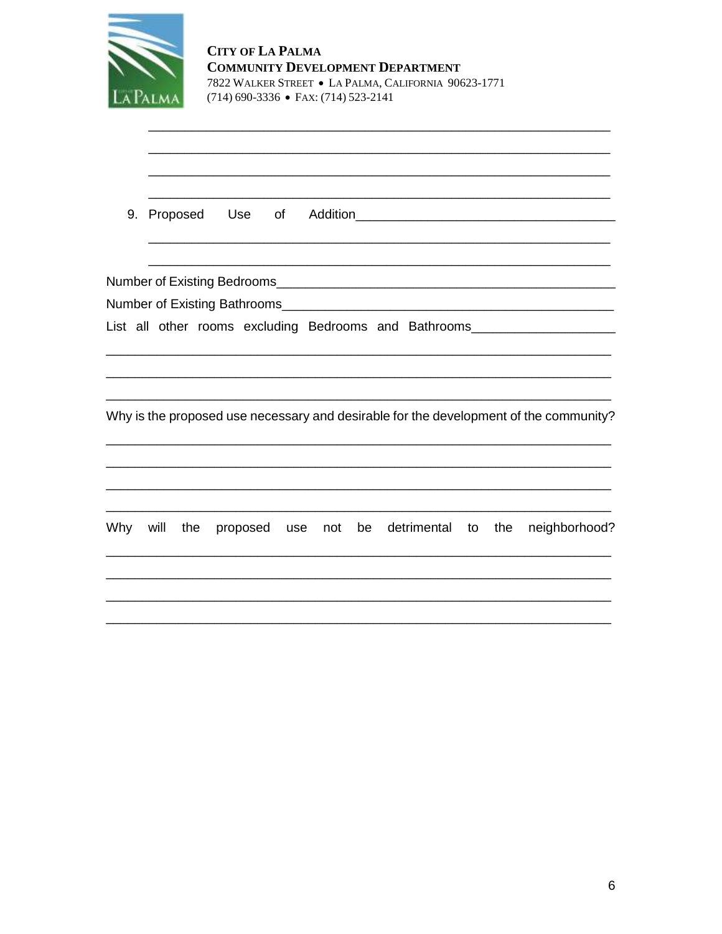| À. |
|----|

<u> 1980 - Jan James James Barnett, fransk politik (d. 1980)</u>

List all other rooms excluding Bedrooms and Bathrooms

Why is the proposed use necessary and desirable for the development of the community?

|  |  |  |  |  | Why will the proposed use not be detrimental to the neighborhood? |
|--|--|--|--|--|-------------------------------------------------------------------|
|  |  |  |  |  |                                                                   |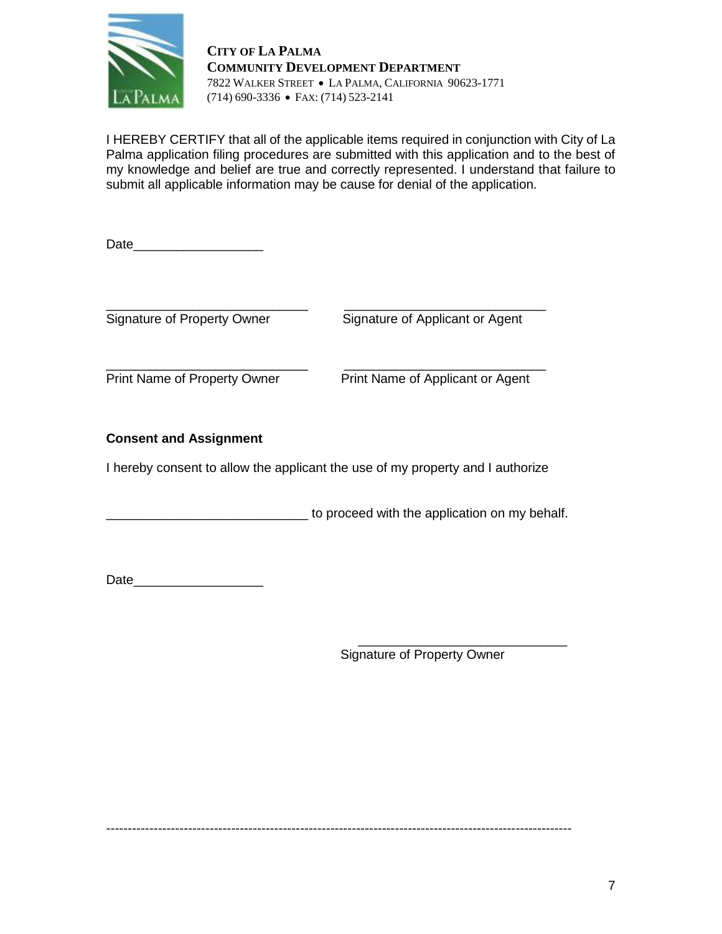

I HEREBY CERTIFY that all of the applicable items required in conjunction with City of La Palma application filing procedures are submitted with this application and to the best of my knowledge and belief are true and correctly represented. I understand that failure to submit all applicable information may be cause for denial of the application.

| Date                                |                                                                                |
|-------------------------------------|--------------------------------------------------------------------------------|
| <b>Signature of Property Owner</b>  | Signature of Applicant or Agent                                                |
| <b>Print Name of Property Owner</b> | Print Name of Applicant or Agent                                               |
| <b>Consent and Assignment</b>       |                                                                                |
|                                     | I hereby consent to allow the applicant the use of my property and I authorize |

to proceed with the application on my behalf.

Date and the set of the set of the set of the set of the set of the set of the set of the set of the set of the set of the set of the set of the set of the set of the set of the set of the set of the set of the set of the

 $\frac{1}{\sqrt{2}}$  ,  $\frac{1}{\sqrt{2}}$  ,  $\frac{1}{\sqrt{2}}$  ,  $\frac{1}{\sqrt{2}}$  ,  $\frac{1}{\sqrt{2}}$  ,  $\frac{1}{\sqrt{2}}$  ,  $\frac{1}{\sqrt{2}}$  ,  $\frac{1}{\sqrt{2}}$  ,  $\frac{1}{\sqrt{2}}$  ,  $\frac{1}{\sqrt{2}}$  ,  $\frac{1}{\sqrt{2}}$  ,  $\frac{1}{\sqrt{2}}$  ,  $\frac{1}{\sqrt{2}}$  ,  $\frac{1}{\sqrt{2}}$  ,  $\frac{1}{\sqrt{2}}$ Signature of Property Owner

------------------------------------------------------------------------------------------------------------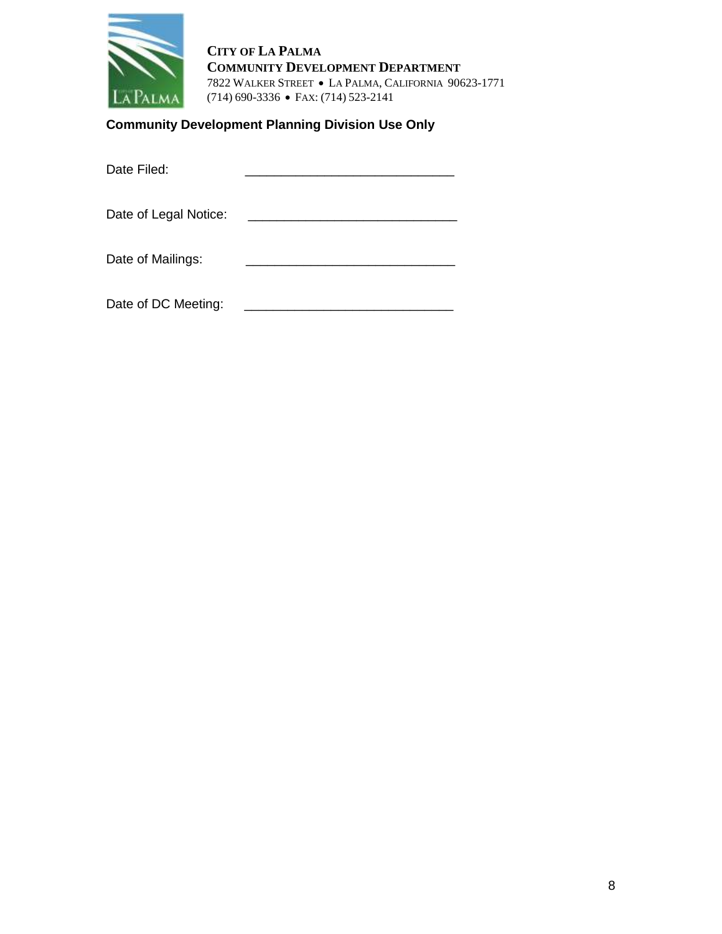

**Community Development Planning Division Use Only**

| Date Filed:           |  |
|-----------------------|--|
| Date of Legal Notice: |  |
| Date of Mailings:     |  |
| Date of DC Meeting:   |  |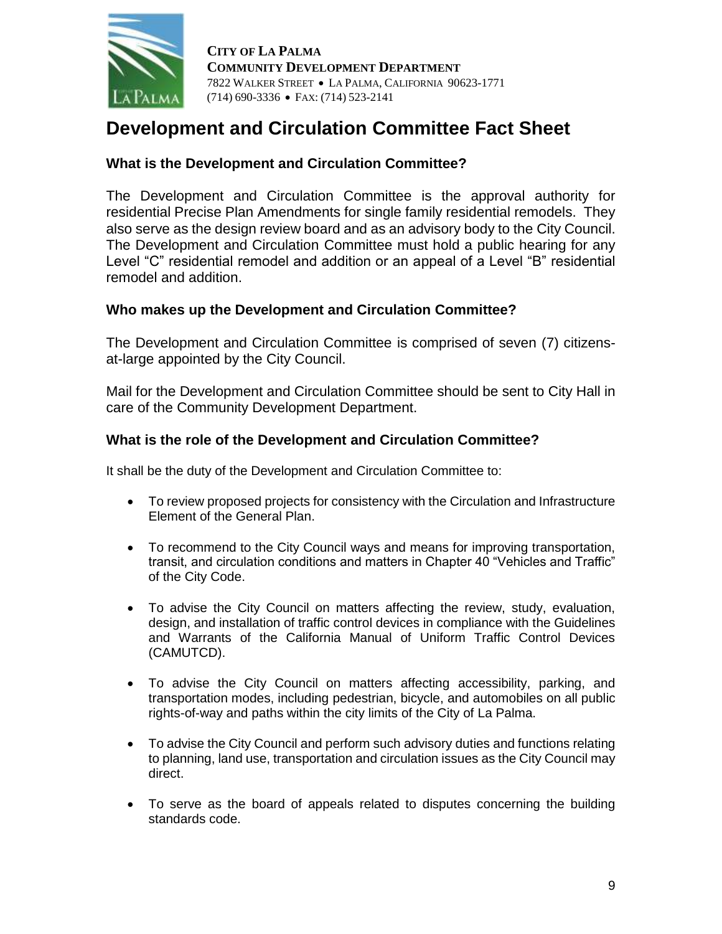

# **Development and Circulation Committee Fact Sheet**

# **What is the Development and Circulation Committee?**

The Development and Circulation Committee is the approval authority for residential Precise Plan Amendments for single family residential remodels. They also serve as the design review board and as an advisory body to the City Council. The Development and Circulation Committee must hold a public hearing for any Level "C" residential remodel and addition or an appeal of a Level "B" residential remodel and addition.

# **Who makes up the Development and Circulation Committee?**

The Development and Circulation Committee is comprised of seven (7) citizensat-large appointed by the City Council.

Mail for the Development and Circulation Committee should be sent to City Hall in care of the Community Development Department.

# **What is the role of the Development and Circulation Committee?**

It shall be the duty of the Development and Circulation Committee to:

- To review proposed projects for consistency with the Circulation and Infrastructure Element of the General Plan.
- To recommend to the City Council ways and means for improving transportation, transit, and circulation conditions and matters in Chapter 40 "Vehicles and Traffic" of the City Code.
- To advise the City Council on matters affecting the review, study, evaluation, design, and installation of traffic control devices in compliance with the Guidelines and Warrants of the California Manual of Uniform Traffic Control Devices (CAMUTCD).
- To advise the City Council on matters affecting accessibility, parking, and transportation modes, including pedestrian, bicycle, and automobiles on all public rights-of-way and paths within the city limits of the City of La Palma.
- To advise the City Council and perform such advisory duties and functions relating to planning, land use, transportation and circulation issues as the City Council may direct.
- To serve as the board of appeals related to disputes concerning the building standards code.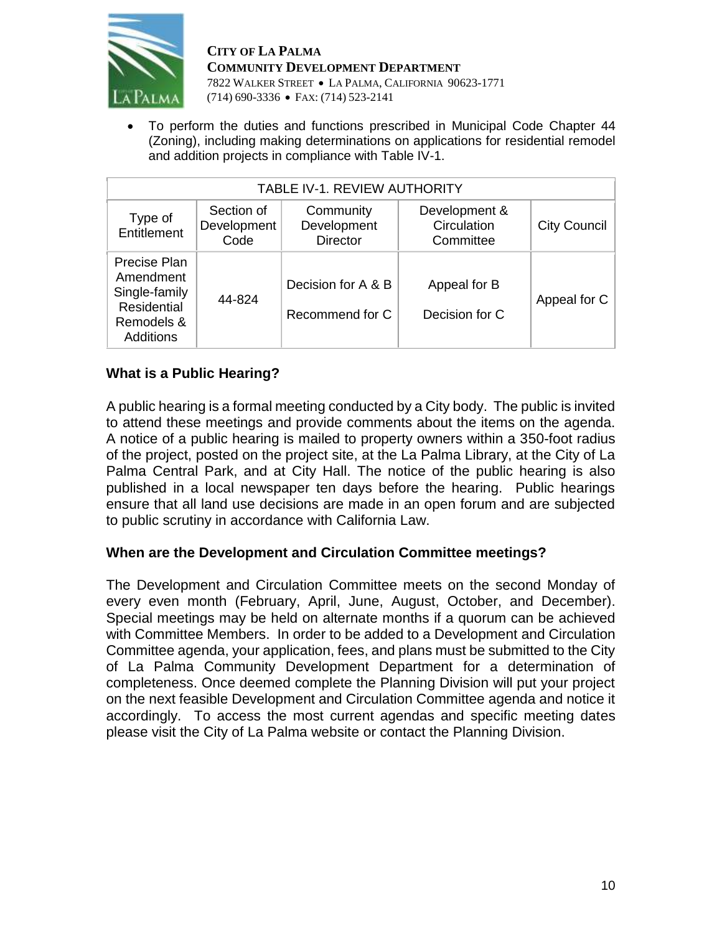

 To perform the duties and functions prescribed in Municipal Code Chapter 44 (Zoning), including making determinations on applications for residential remodel and addition projects in compliance with Table IV-1.

| TABLE IV-1. REVIEW AUTHORITY                                                         |                                   |                                             |                                           |                     |  |
|--------------------------------------------------------------------------------------|-----------------------------------|---------------------------------------------|-------------------------------------------|---------------------|--|
| Type of<br>Entitlement                                                               | Section of<br>Development<br>Code | Community<br>Development<br><b>Director</b> | Development &<br>Circulation<br>Committee | <b>City Council</b> |  |
| Precise Plan<br>Amendment<br>Single-family<br>Residential<br>Remodels &<br>Additions | 44-824                            | Decision for A & B<br>Recommend for C       | Appeal for B<br>Decision for C            | Appeal for C        |  |

# **What is a Public Hearing?**

A public hearing is a formal meeting conducted by a City body. The public is invited to attend these meetings and provide comments about the items on the agenda. A notice of a public hearing is mailed to property owners within a 350-foot radius of the project, posted on the project site, at the La Palma Library, at the City of La Palma Central Park, and at City Hall. The notice of the public hearing is also published in a local newspaper ten days before the hearing. Public hearings ensure that all land use decisions are made in an open forum and are subjected to public scrutiny in accordance with California Law.

# **When are the Development and Circulation Committee meetings?**

The Development and Circulation Committee meets on the second Monday of every even month (February, April, June, August, October, and December). Special meetings may be held on alternate months if a quorum can be achieved with Committee Members. In order to be added to a Development and Circulation Committee agenda, your application, fees, and plans must be submitted to the City of La Palma Community Development Department for a determination of completeness. Once deemed complete the Planning Division will put your project on the next feasible Development and Circulation Committee agenda and notice it accordingly. To access the most current agendas and specific meeting dates please visit the City of La Palma website or contact the Planning Division.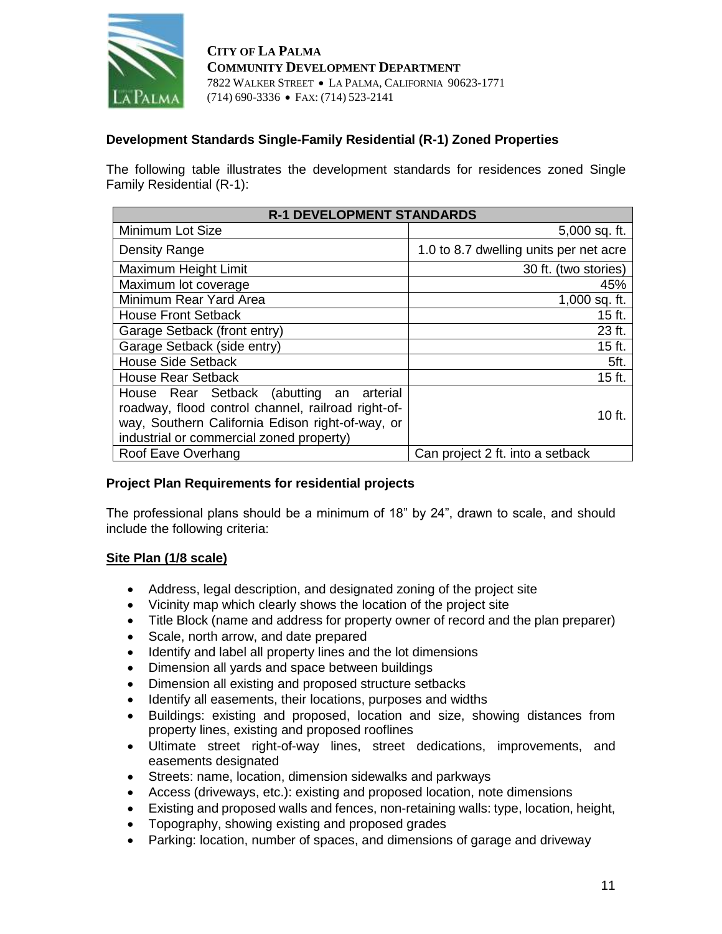

## **Development Standards Single-Family Residential (R-1) Zoned Properties**

The following table illustrates the development standards for residences zoned Single Family Residential (R-1):

| <b>R-1 DEVELOPMENT STANDARDS</b>                                                                                                                                                               |                                        |  |  |  |
|------------------------------------------------------------------------------------------------------------------------------------------------------------------------------------------------|----------------------------------------|--|--|--|
| Minimum Lot Size                                                                                                                                                                               | 5,000 sq. ft.                          |  |  |  |
| Density Range                                                                                                                                                                                  | 1.0 to 8.7 dwelling units per net acre |  |  |  |
| Maximum Height Limit                                                                                                                                                                           | 30 ft. (two stories)                   |  |  |  |
| Maximum lot coverage                                                                                                                                                                           | 45%                                    |  |  |  |
| Minimum Rear Yard Area                                                                                                                                                                         | 1,000 sq. ft.                          |  |  |  |
| <b>House Front Setback</b>                                                                                                                                                                     | 15 ft.                                 |  |  |  |
| Garage Setback (front entry)                                                                                                                                                                   | 23 ft.                                 |  |  |  |
| Garage Setback (side entry)                                                                                                                                                                    | 15 ft.                                 |  |  |  |
| <b>House Side Setback</b>                                                                                                                                                                      | 5ft.                                   |  |  |  |
| <b>House Rear Setback</b>                                                                                                                                                                      | 15 ft.                                 |  |  |  |
| House Rear Setback (abutting an arterial<br>roadway, flood control channel, railroad right-of-<br>way, Southern California Edison right-of-way, or<br>industrial or commercial zoned property) | 10 ft.                                 |  |  |  |
| Roof Eave Overhang                                                                                                                                                                             | Can project 2 ft. into a setback       |  |  |  |

## **Project Plan Requirements for residential projects**

The professional plans should be a minimum of 18" by 24", drawn to scale, and should include the following criteria:

### **Site Plan (1/8 scale)**

- Address, legal description, and designated zoning of the project site
- Vicinity map which clearly shows the location of the project site
- Title Block (name and address for property owner of record and the plan preparer)
- Scale, north arrow, and date prepared
- Identify and label all property lines and the lot dimensions
- Dimension all yards and space between buildings
- Dimension all existing and proposed structure setbacks
- Identify all easements, their locations, purposes and widths
- Buildings: existing and proposed, location and size, showing distances from property lines, existing and proposed rooflines
- Ultimate street right-of-way lines, street dedications, improvements, and easements designated
- Streets: name, location, dimension sidewalks and parkways
- Access (driveways, etc.): existing and proposed location, note dimensions
- Existing and proposed walls and fences, non-retaining walls: type, location, height,
- Topography, showing existing and proposed grades
- Parking: location, number of spaces, and dimensions of garage and driveway